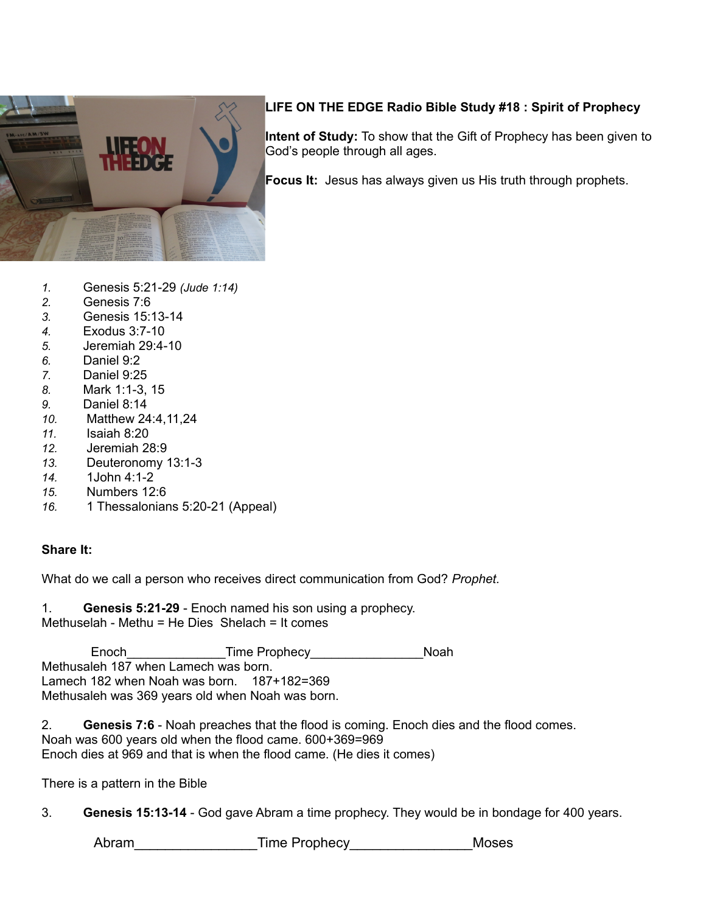

# **LIFE ON THE EDGE Radio Bible Study #18 : Spirit of Prophecy**

**Intent of Study:** To show that the Gift of Prophecy has been given to God's people through all ages.

**Focus It:** Jesus has always given us His truth through prophets.

- *1.* Genesis 5:21-29 *(Jude 1:14)*
- *2.* Genesis 7:6
- *3.* Genesis 15:13-14
- *4.* Exodus 3:7-10
- *5.* Jeremiah 29:4-10
- *6.* Daniel 9:2
- *7.* Daniel 9:25
- *8.* Mark 1:1-3, 15
- *9.* Daniel 8:14
- *10.* Matthew 24:4,11,24
- *11.* Isaiah 8:20
- *12.* Jeremiah 28:9
- *13.* Deuteronomy 13:1-3
- *14.* 1John 4:1-2
- *15.* Numbers 12:6
- *16.* 1 Thessalonians 5:20-21 (Appeal)

## **Share It:**

What do we call a person who receives direct communication from God? *Prophet.*

1. **Genesis 5:21-29** - Enoch named his son using a prophecy. Methuselah - Methu = He Dies Shelach = It comes

Enoch **Franch** *Enoch Enoch Enoch Enoch Enoch Enoch Enoch Enoch Enoch Enomine Prophecy Enomine Prophecy Enomine Prophecy Enomine Prophecy Enomine Prophecy Enomine Pr* Methusaleh 187 when Lamech was born. Lamech 182 when Noah was born. 187+182=369 Methusaleh was 369 years old when Noah was born.

2. **Genesis 7:6** - Noah preaches that the flood is coming. Enoch dies and the flood comes. Noah was 600 years old when the flood came. 600+369=969 Enoch dies at 969 and that is when the flood came. (He dies it comes)

There is a pattern in the Bible

3. **Genesis 15:13-14** - God gave Abram a time prophecy. They would be in bondage for 400 years.

Abram Time Prophecy and Moses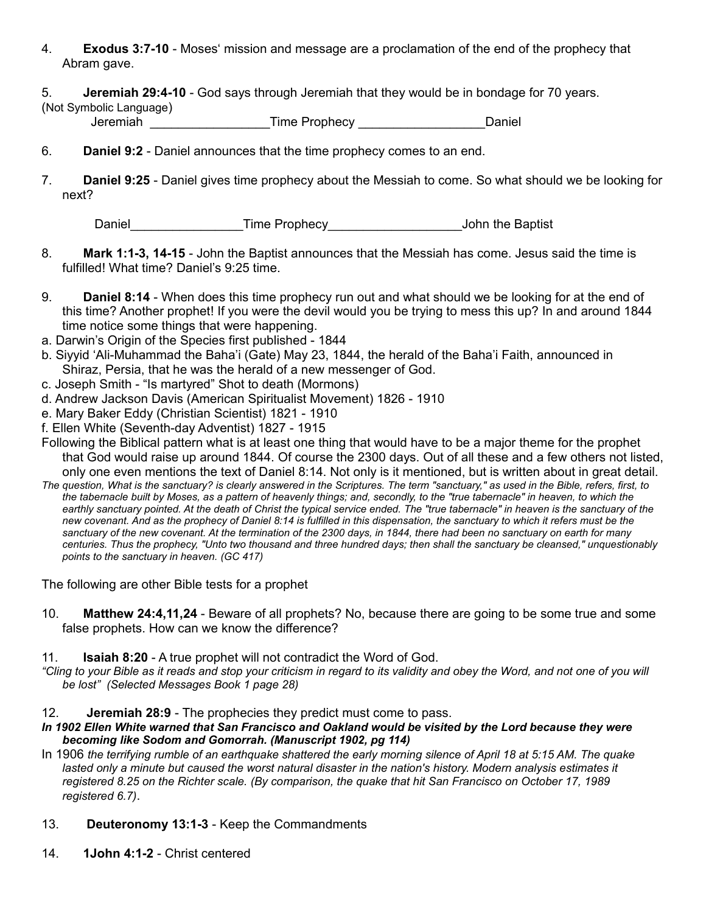4. **Exodus 3:7-10** - Moses' mission and message are a proclamation of the end of the prophecy that Abram gave.

5. **Jeremiah 29:4-10** - God says through Jeremiah that they would be in bondage for 70 years.

(Not Symbolic Language)

Jeremiah \_\_\_\_\_\_\_\_\_\_\_\_\_\_\_\_\_Time Prophecy \_\_\_\_\_\_\_\_\_\_\_\_\_\_\_\_\_\_Daniel

- 6. **Daniel 9:2**  Daniel announces that the time prophecy comes to an end.
- 7. **Daniel 9:25** Daniel gives time prophecy about the Messiah to come. So what should we be looking for next?

Daniel **Example 2** Time Prophecy **Example 2** John the Baptist

- 8. **Mark 1:1-3, 14-15**  John the Baptist announces that the Messiah has come. Jesus said the time is fulfilled! What time? Daniel's 9:25 time.
- 9. **Daniel 8:14** When does this time prophecy run out and what should we be looking for at the end of this time? Another prophet! If you were the devil would you be trying to mess this up? In and around 1844 time notice some things that were happening.
- a. Darwin's Origin of the Species first published 1844
- b. Siyyid 'Ali-Muhammad the Baha'i (Gate) May 23, 1844, the herald of the Baha'i Faith, announced in Shiraz, Persia, that he was the herald of a new messenger of God.
- c. Joseph Smith "Is martyred" Shot to death (Mormons)
- d. Andrew Jackson Davis (American Spiritualist Movement) 1826 1910
- e. Mary Baker Eddy (Christian Scientist) 1821 1910
- f. Ellen White (Seventh-day Adventist) 1827 1915

Following the Biblical pattern what is at least one thing that would have to be a major theme for the prophet that God would raise up around 1844. Of course the 2300 days. Out of all these and a few others not listed, only one even mentions the text of Daniel 8:14. Not only is it mentioned, but is written about in great detail.

*The question, What is the sanctuary? is clearly answered in the Scriptures. The term "sanctuary," as used in the Bible, refers, first, to the tabernacle built by Moses, as a pattern of heavenly things; and, secondly, to the "true tabernacle" in heaven, to which the*  earthly sanctuary pointed. At the death of Christ the typical service ended. The "true tabernacle" in heaven is the sanctuary of the *new covenant. And as the prophecy of Daniel 8:14 is fulfilled in this dispensation, the sanctuary to which it refers must be the sanctuary of the new covenant. At the termination of the 2300 days, in 1844, there had been no sanctuary on earth for many centuries. Thus the prophecy, "Unto two thousand and three hundred days; then shall the sanctuary be cleansed," unquestionably points to the sanctuary in heaven. (GC 417)*

The following are other Bible tests for a prophet

10. **Matthew 24:4,11,24** - Beware of all prophets? No, because there are going to be some true and some false prophets. How can we know the difference?

## 11. **Isaiah 8:20** - A true prophet will not contradict the Word of God.

*"Cling to your Bible as it reads and stop your criticism in regard to its validity and obey the Word, and not one of you will be lost" (Selected Messages Book 1 page 28)*

## 12. **Jeremiah 28:9** - The prophecies they predict must come to pass.

- *In 1902 Ellen White warned that San Francisco and Oakland would be visited by the Lord because they were becoming like Sodom and Gomorrah. (Manuscript 1902, pg 114)*
- In 1906 *the terrifying rumble of an earthquake shattered the early morning silence of April 18 at 5:15 AM. The quake*  lasted only a minute but caused the worst natural disaster in the nation's history. Modern analysis estimates it *registered 8.25 on the Richter scale. (By comparison, the quake that hit San Francisco on October 17, 1989 registered 6.7)*.
- 13. **Deuteronomy 13:1-3**  Keep the Commandments
- 14. **1John 4:1-2**  Christ centered